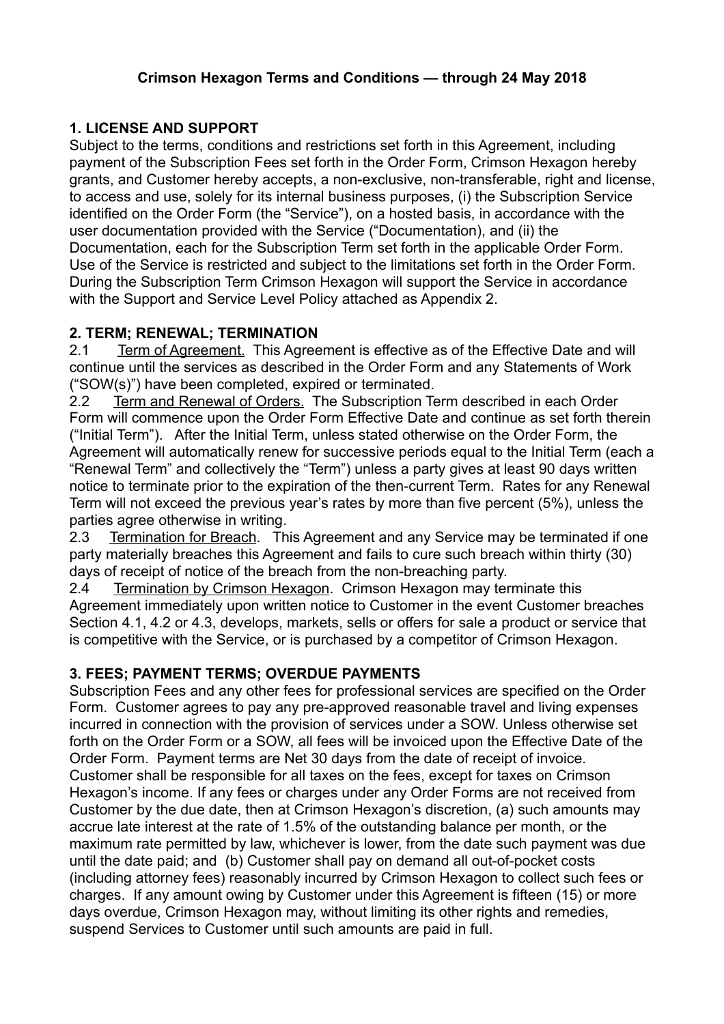#### **Crimson Hexagon Terms and Conditions — through 24 May 2018**

## **1. LICENSE AND SUPPORT**

Subject to the terms, conditions and restrictions set forth in this Agreement, including payment of the Subscription Fees set forth in the Order Form, Crimson Hexagon hereby grants, and Customer hereby accepts, a non-exclusive, non-transferable, right and license, to access and use, solely for its internal business purposes, (i) the Subscription Service identified on the Order Form (the "Service"), on a hosted basis, in accordance with the user documentation provided with the Service ("Documentation), and (ii) the Documentation, each for the Subscription Term set forth in the applicable Order Form. Use of the Service is restricted and subject to the limitations set forth in the Order Form. During the Subscription Term Crimson Hexagon will support the Service in accordance with the Support and Service Level Policy attached as Appendix 2.

#### **2. TERM; RENEWAL; TERMINATION**

2.1 Term of Agreement. This Agreement is effective as of the Effective Date and will continue until the services as described in the Order Form and any Statements of Work ("SOW(s)") have been completed, expired or terminated.

2.2 Term and Renewal of Orders. The Subscription Term described in each Order Form will commence upon the Order Form Effective Date and continue as set forth therein ("Initial Term"). After the Initial Term, unless stated otherwise on the Order Form, the Agreement will automatically renew for successive periods equal to the Initial Term (each a "Renewal Term" and collectively the "Term") unless a party gives at least 90 days written notice to terminate prior to the expiration of the then-current Term. Rates for any Renewal Term will not exceed the previous year's rates by more than five percent (5%), unless the parties agree otherwise in writing.

2.3 Termination for Breach. This Agreement and any Service may be terminated if one party materially breaches this Agreement and fails to cure such breach within thirty (30) days of receipt of notice of the breach from the non-breaching party.

2.4 Termination by Crimson Hexagon. Crimson Hexagon may terminate this Agreement immediately upon written notice to Customer in the event Customer breaches Section 4.1, 4.2 or 4.3, develops, markets, sells or offers for sale a product or service that is competitive with the Service, or is purchased by a competitor of Crimson Hexagon.

#### **3. FEES; PAYMENT TERMS; OVERDUE PAYMENTS**

Subscription Fees and any other fees for professional services are specified on the Order Form. Customer agrees to pay any pre-approved reasonable travel and living expenses incurred in connection with the provision of services under a SOW. Unless otherwise set forth on the Order Form or a SOW, all fees will be invoiced upon the Effective Date of the Order Form. Payment terms are Net 30 days from the date of receipt of invoice. Customer shall be responsible for all taxes on the fees, except for taxes on Crimson Hexagon's income. If any fees or charges under any Order Forms are not received from Customer by the due date, then at Crimson Hexagon's discretion, (a) such amounts may accrue late interest at the rate of 1.5% of the outstanding balance per month, or the maximum rate permitted by law, whichever is lower, from the date such payment was due until the date paid; and (b) Customer shall pay on demand all out-of-pocket costs (including attorney fees) reasonably incurred by Crimson Hexagon to collect such fees or charges. If any amount owing by Customer under this Agreement is fifteen (15) or more days overdue, Crimson Hexagon may, without limiting its other rights and remedies, suspend Services to Customer until such amounts are paid in full.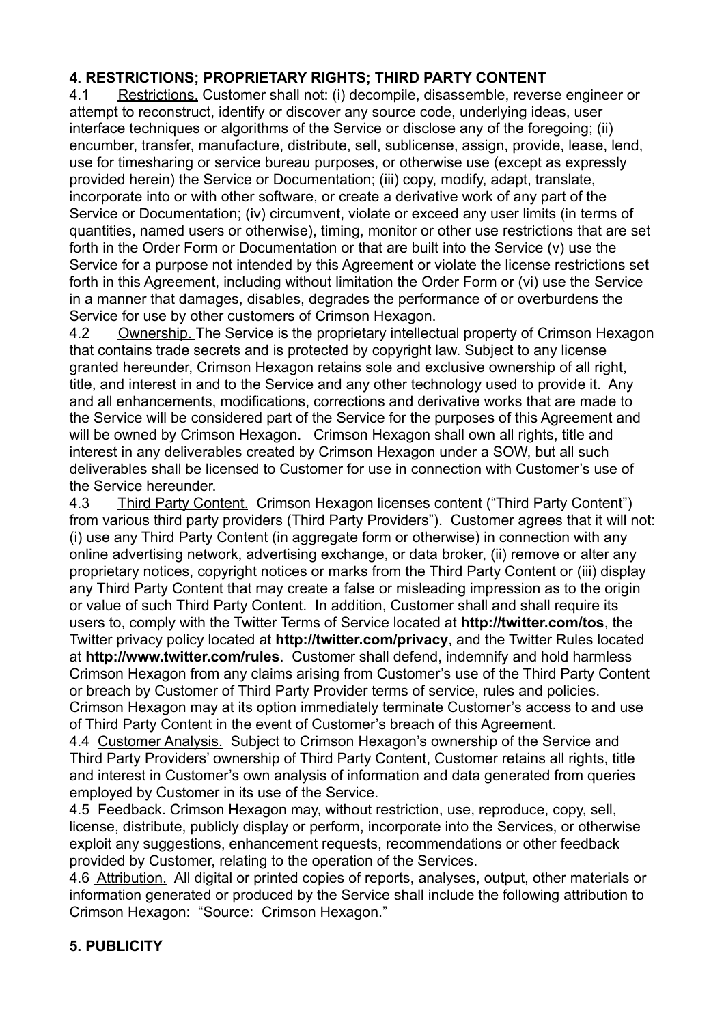## **4. RESTRICTIONS; PROPRIETARY RIGHTS; THIRD PARTY CONTENT**

4.1 Restrictions. Customer shall not: (i) decompile, disassemble, reverse engineer or attempt to reconstruct, identify or discover any source code, underlying ideas, user interface techniques or algorithms of the Service or disclose any of the foregoing: (ii) encumber, transfer, manufacture, distribute, sell, sublicense, assign, provide, lease, lend, use for timesharing or service bureau purposes, or otherwise use (except as expressly provided herein) the Service or Documentation; (iii) copy, modify, adapt, translate, incorporate into or with other software, or create a derivative work of any part of the Service or Documentation; (iv) circumvent, violate or exceed any user limits (in terms of quantities, named users or otherwise), timing, monitor or other use restrictions that are set forth in the Order Form or Documentation or that are built into the Service (v) use the Service for a purpose not intended by this Agreement or violate the license restrictions set forth in this Agreement, including without limitation the Order Form or (vi) use the Service in a manner that damages, disables, degrades the performance of or overburdens the Service for use by other customers of Crimson Hexagon.

4.2 Ownership. The Service is the proprietary intellectual property of Crimson Hexagon that contains trade secrets and is protected by copyright law. Subject to any license granted hereunder, Crimson Hexagon retains sole and exclusive ownership of all right, title, and interest in and to the Service and any other technology used to provide it. Any and all enhancements, modifications, corrections and derivative works that are made to the Service will be considered part of the Service for the purposes of this Agreement and will be owned by Crimson Hexagon. Crimson Hexagon shall own all rights, title and interest in any deliverables created by Crimson Hexagon under a SOW, but all such deliverables shall be licensed to Customer for use in connection with Customer's use of the Service hereunder.

4.3 Third Party Content. Crimson Hexagon licenses content ("Third Party Content") from various third party providers (Third Party Providers"). Customer agrees that it will not: (i) use any Third Party Content (in aggregate form or otherwise) in connection with any online advertising network, advertising exchange, or data broker, (ii) remove or alter any proprietary notices, copyright notices or marks from the Third Party Content or (iii) display any Third Party Content that may create a false or misleading impression as to the origin or value of such Third Party Content. In addition, Customer shall and shall require its users to, comply with the Twitter Terms of Service located at **<http://twitter.com/tos>**, the Twitter privacy policy located at **<http://twitter.com/privacy>**, and the Twitter Rules located at **<http://www.twitter.com/rules>**. Customer shall defend, indemnify and hold harmless Crimson Hexagon from any claims arising from Customer's use of the Third Party Content or breach by Customer of Third Party Provider terms of service, rules and policies. Crimson Hexagon may at its option immediately terminate Customer's access to and use of Third Party Content in the event of Customer's breach of this Agreement.

4.4 Customer Analysis. Subject to Crimson Hexagon's ownership of the Service and Third Party Providers' ownership of Third Party Content, Customer retains all rights, title and interest in Customer's own analysis of information and data generated from queries employed by Customer in its use of the Service.

4.5 Feedback. Crimson Hexagon may, without restriction, use, reproduce, copy, sell, license, distribute, publicly display or perform, incorporate into the Services, or otherwise exploit any suggestions, enhancement requests, recommendations or other feedback provided by Customer, relating to the operation of the Services.

4.6 Attribution. All digital or printed copies of reports, analyses, output, other materials or information generated or produced by the Service shall include the following attribution to Crimson Hexagon: "Source: Crimson Hexagon."

## **5. PUBLICITY**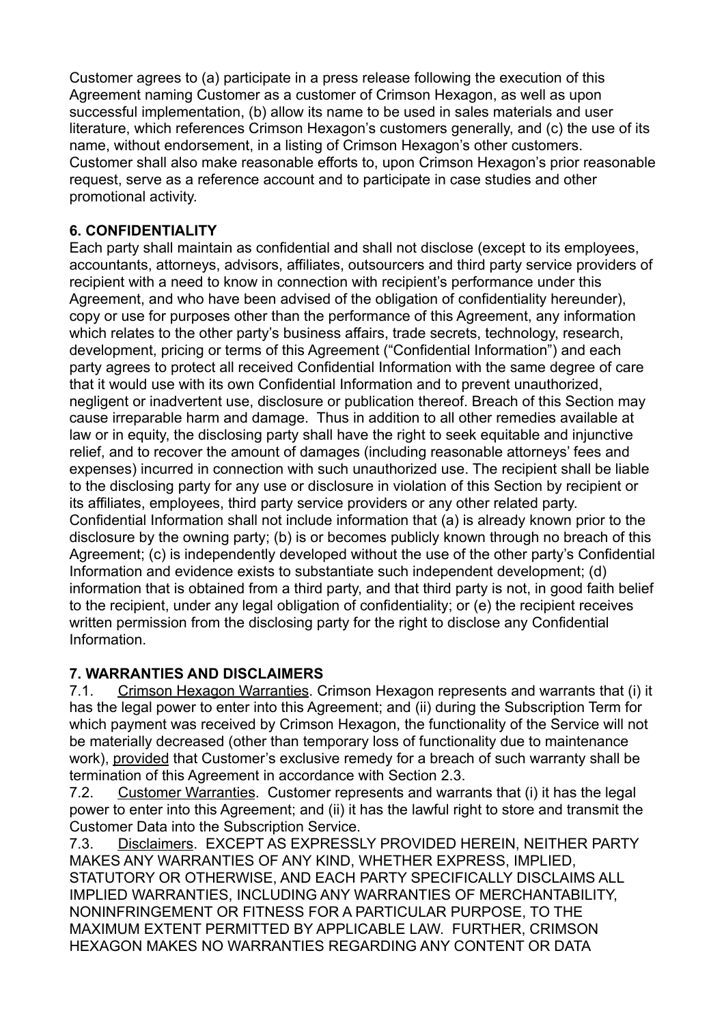Customer agrees to (a) participate in a press release following the execution of this Agreement naming Customer as a customer of Crimson Hexagon, as well as upon successful implementation, (b) allow its name to be used in sales materials and user literature, which references Crimson Hexagon's customers generally, and (c) the use of its name, without endorsement, in a listing of Crimson Hexagon's other customers. Customer shall also make reasonable efforts to, upon Crimson Hexagon's prior reasonable request, serve as a reference account and to participate in case studies and other promotional activity.

# **6. CONFIDENTIALITY**

Each party shall maintain as confidential and shall not disclose (except to its employees, accountants, attorneys, advisors, affiliates, outsourcers and third party service providers of recipient with a need to know in connection with recipient's performance under this Agreement, and who have been advised of the obligation of confidentiality hereunder), copy or use for purposes other than the performance of this Agreement, any information which relates to the other party's business affairs, trade secrets, technology, research, development, pricing or terms of this Agreement ("Confidential Information") and each party agrees to protect all received Confidential Information with the same degree of care that it would use with its own Confidential Information and to prevent unauthorized, negligent or inadvertent use, disclosure or publication thereof. Breach of this Section may cause irreparable harm and damage. Thus in addition to all other remedies available at law or in equity, the disclosing party shall have the right to seek equitable and injunctive relief, and to recover the amount of damages (including reasonable attorneys' fees and expenses) incurred in connection with such unauthorized use. The recipient shall be liable to the disclosing party for any use or disclosure in violation of this Section by recipient or its affiliates, employees, third party service providers or any other related party. Confidential Information shall not include information that (a) is already known prior to the disclosure by the owning party; (b) is or becomes publicly known through no breach of this Agreement; (c) is independently developed without the use of the other party's Confidential Information and evidence exists to substantiate such independent development; (d) information that is obtained from a third party, and that third party is not, in good faith belief to the recipient, under any legal obligation of confidentiality; or (e) the recipient receives written permission from the disclosing party for the right to disclose any Confidential Information.

# **7. WARRANTIES AND DISCLAIMERS**

7.1. Crimson Hexagon Warranties. Crimson Hexagon represents and warrants that (i) it has the legal power to enter into this Agreement; and (ii) during the Subscription Term for which payment was received by Crimson Hexagon, the functionality of the Service will not be materially decreased (other than temporary loss of functionality due to maintenance work), provided that Customer's exclusive remedy for a breach of such warranty shall be termination of this Agreement in accordance with Section 2.3.

7.2. Customer Warranties. Customer represents and warrants that (i) it has the legal power to enter into this Agreement; and (ii) it has the lawful right to store and transmit the Customer Data into the Subscription Service.

7.3. Disclaimers. EXCEPT AS EXPRESSLY PROVIDED HEREIN, NEITHER PARTY MAKES ANY WARRANTIES OF ANY KIND, WHETHER EXPRESS, IMPLIED, STATUTORY OR OTHERWISE, AND EACH PARTY SPECIFICALLY DISCLAIMS ALL IMPLIED WARRANTIES, INCLUDING ANY WARRANTIES OF MERCHANTABILITY, NONINFRINGEMENT OR FITNESS FOR A PARTICULAR PURPOSE, TO THE MAXIMUM EXTENT PERMITTED BY APPLICABLE LAW. FURTHER, CRIMSON HEXAGON MAKES NO WARRANTIES REGARDING ANY CONTENT OR DATA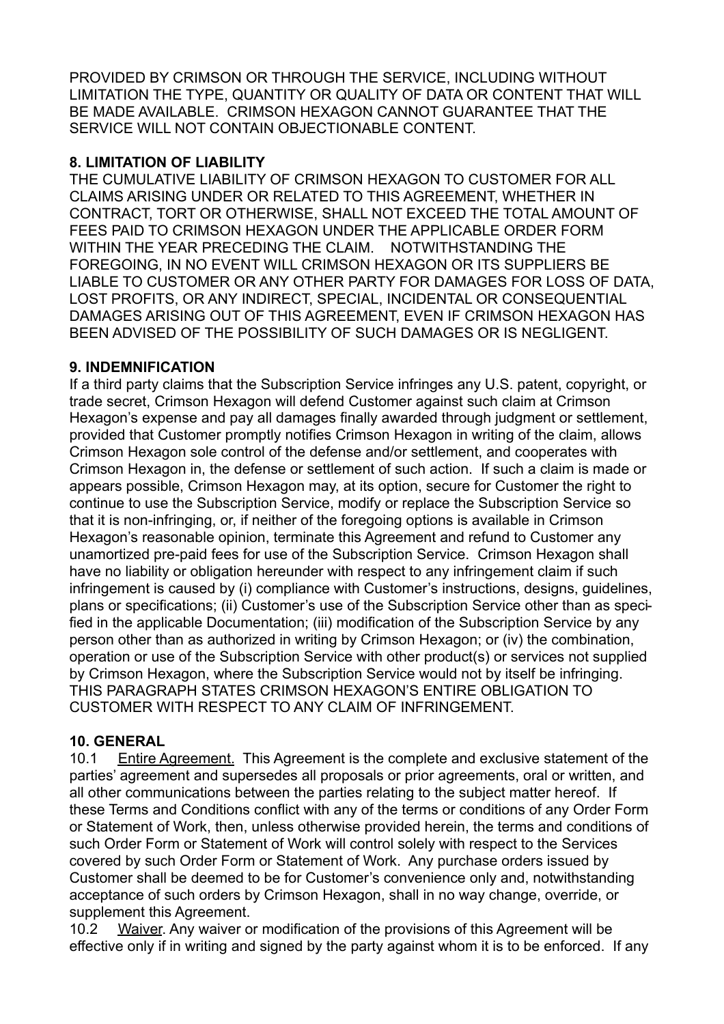PROVIDED BY CRIMSON OR THROUGH THE SERVICE, INCLUDING WITHOUT LIMITATION THE TYPE, QUANTITY OR QUALITY OF DATA OR CONTENT THAT WILL BE MADE AVAILABLE. CRIMSON HEXAGON CANNOT GUARANTEE THAT THE SERVICE WILL NOT CONTAIN OBJECTIONABLE CONTENT.

#### **8. LIMITATION OF LIABILITY**

THE CUMULATIVE LIABILITY OF CRIMSON HEXAGON TO CUSTOMER FOR ALL CLAIMS ARISING UNDER OR RELATED TO THIS AGREEMENT, WHETHER IN CONTRACT, TORT OR OTHERWISE, SHALL NOT EXCEED THE TOTAL AMOUNT OF FEES PAID TO CRIMSON HEXAGON UNDER THE APPLICABLE ORDER FORM WITHIN THE YEAR PRECEDING THE CLAIM. NOTWITHSTANDING THE FOREGOING, IN NO EVENT WILL CRIMSON HEXAGON OR ITS SUPPLIERS BE LIABLE TO CUSTOMER OR ANY OTHER PARTY FOR DAMAGES FOR LOSS OF DATA, LOST PROFITS, OR ANY INDIRECT, SPECIAL, INCIDENTAL OR CONSEQUENTIAL DAMAGES ARISING OUT OF THIS AGREEMENT, EVEN IF CRIMSON HEXAGON HAS BEEN ADVISED OF THE POSSIBILITY OF SUCH DAMAGES OR IS NEGLIGENT.

#### **9. INDEMNIFICATION**

If a third party claims that the Subscription Service infringes any U.S. patent, copyright, or trade secret, Crimson Hexagon will defend Customer against such claim at Crimson Hexagon's expense and pay all damages finally awarded through judgment or settlement, provided that Customer promptly notifies Crimson Hexagon in writing of the claim, allows Crimson Hexagon sole control of the defense and/or settlement, and cooperates with Crimson Hexagon in, the defense or settlement of such action. If such a claim is made or appears possible, Crimson Hexagon may, at its option, secure for Customer the right to continue to use the Subscription Service, modify or replace the Subscription Service so that it is non-infringing, or, if neither of the foregoing options is available in Crimson Hexagon's reasonable opinion, terminate this Agreement and refund to Customer any unamortized pre-paid fees for use of the Subscription Service. Crimson Hexagon shall have no liability or obligation hereunder with respect to any infringement claim if such infringement is caused by (i) compliance with Customer's instructions, designs, guidelines, plans or specifications; (ii) Customer's use of the Subscription Service other than as specified in the applicable Documentation; (iii) modification of the Subscription Service by any person other than as authorized in writing by Crimson Hexagon; or (iv) the combination, operation or use of the Subscription Service with other product(s) or services not supplied by Crimson Hexagon, where the Subscription Service would not by itself be infringing. THIS PARAGRAPH STATES CRIMSON HEXAGON'S ENTIRE OBLIGATION TO CUSTOMER WITH RESPECT TO ANY CLAIM OF INFRINGEMENT.

#### **10. GENERAL**

10.1 Entire Agreement. This Agreement is the complete and exclusive statement of the parties' agreement and supersedes all proposals or prior agreements, oral or written, and all other communications between the parties relating to the subject matter hereof. If these Terms and Conditions conflict with any of the terms or conditions of any Order Form or Statement of Work, then, unless otherwise provided herein, the terms and conditions of such Order Form or Statement of Work will control solely with respect to the Services covered by such Order Form or Statement of Work. Any purchase orders issued by Customer shall be deemed to be for Customer's convenience only and, notwithstanding acceptance of such orders by Crimson Hexagon, shall in no way change, override, or supplement this Agreement.

10.2 Waiver. Any waiver or modification of the provisions of this Agreement will be effective only if in writing and signed by the party against whom it is to be enforced. If any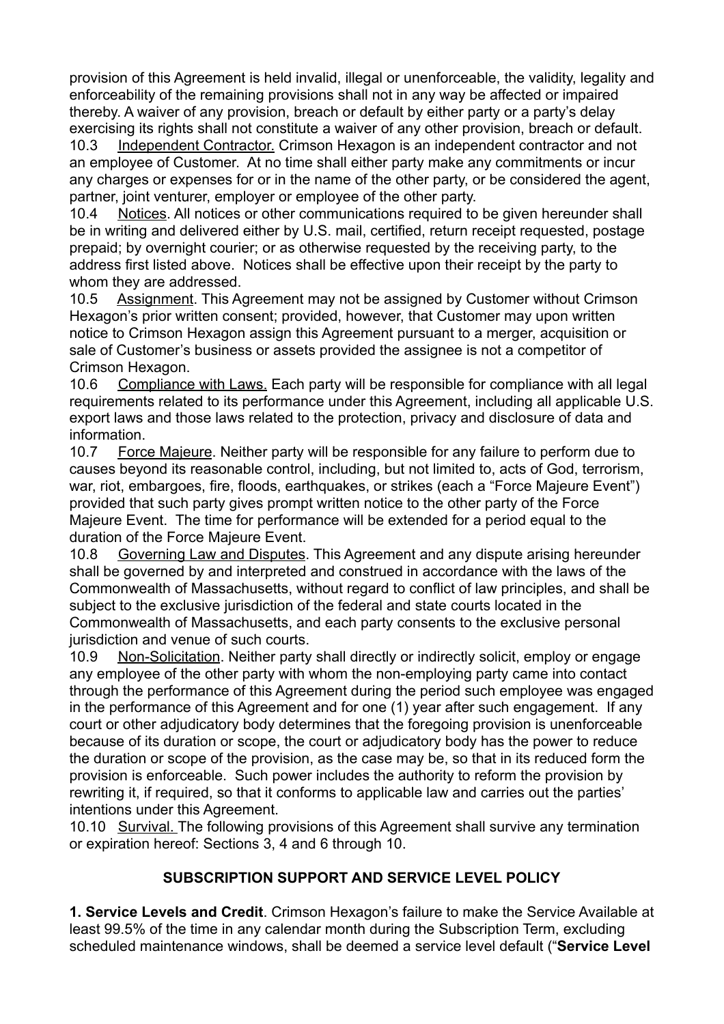provision of this Agreement is held invalid, illegal or unenforceable, the validity, legality and enforceability of the remaining provisions shall not in any way be affected or impaired thereby. A waiver of any provision, breach or default by either party or a party's delay exercising its rights shall not constitute a waiver of any other provision, breach or default.

10.3 Independent Contractor. Crimson Hexagon is an independent contractor and not an employee of Customer. At no time shall either party make any commitments or incur any charges or expenses for or in the name of the other party, or be considered the agent, partner, joint venturer, employer or employee of the other party.

10.4 Notices. All notices or other communications required to be given hereunder shall be in writing and delivered either by U.S. mail, certified, return receipt requested, postage prepaid; by overnight courier; or as otherwise requested by the receiving party, to the address first listed above. Notices shall be effective upon their receipt by the party to whom they are addressed.

10.5 Assignment. This Agreement may not be assigned by Customer without Crimson Hexagon's prior written consent; provided, however, that Customer may upon written notice to Crimson Hexagon assign this Agreement pursuant to a merger, acquisition or sale of Customer's business or assets provided the assignee is not a competitor of Crimson Hexagon.

10.6 Compliance with Laws. Each party will be responsible for compliance with all legal requirements related to its performance under this Agreement, including all applicable U.S. export laws and those laws related to the protection, privacy and disclosure of data and information.

10.7 Force Majeure. Neither party will be responsible for any failure to perform due to causes beyond its reasonable control, including, but not limited to, acts of God, terrorism, war, riot, embargoes, fire, floods, earthquakes, or strikes (each a "Force Majeure Event") provided that such party gives prompt written notice to the other party of the Force Majeure Event. The time for performance will be extended for a period equal to the duration of the Force Majeure Event.

10.8 Governing Law and Disputes. This Agreement and any dispute arising hereunder shall be governed by and interpreted and construed in accordance with the laws of the Commonwealth of Massachusetts, without regard to conflict of law principles, and shall be subject to the exclusive jurisdiction of the federal and state courts located in the Commonwealth of Massachusetts, and each party consents to the exclusive personal jurisdiction and venue of such courts.

10.9 Non-Solicitation. Neither party shall directly or indirectly solicit, employ or engage any employee of the other party with whom the non-employing party came into contact through the performance of this Agreement during the period such employee was engaged in the performance of this Agreement and for one (1) year after such engagement. If any court or other adjudicatory body determines that the foregoing provision is unenforceable because of its duration or scope, the court or adjudicatory body has the power to reduce the duration or scope of the provision, as the case may be, so that in its reduced form the provision is enforceable. Such power includes the authority to reform the provision by rewriting it, if required, so that it conforms to applicable law and carries out the parties' intentions under this Agreement.

10.10 Survival. The following provisions of this Agreement shall survive any termination or expiration hereof: Sections 3, 4 and 6 through 10.

#### **SUBSCRIPTION SUPPORT AND SERVICE LEVEL POLICY**

**1. Service Levels and Credit**. Crimson Hexagon's failure to make the Service Available at least 99.5% of the time in any calendar month during the Subscription Term, excluding scheduled maintenance windows, shall be deemed a service level default ("**Service Level**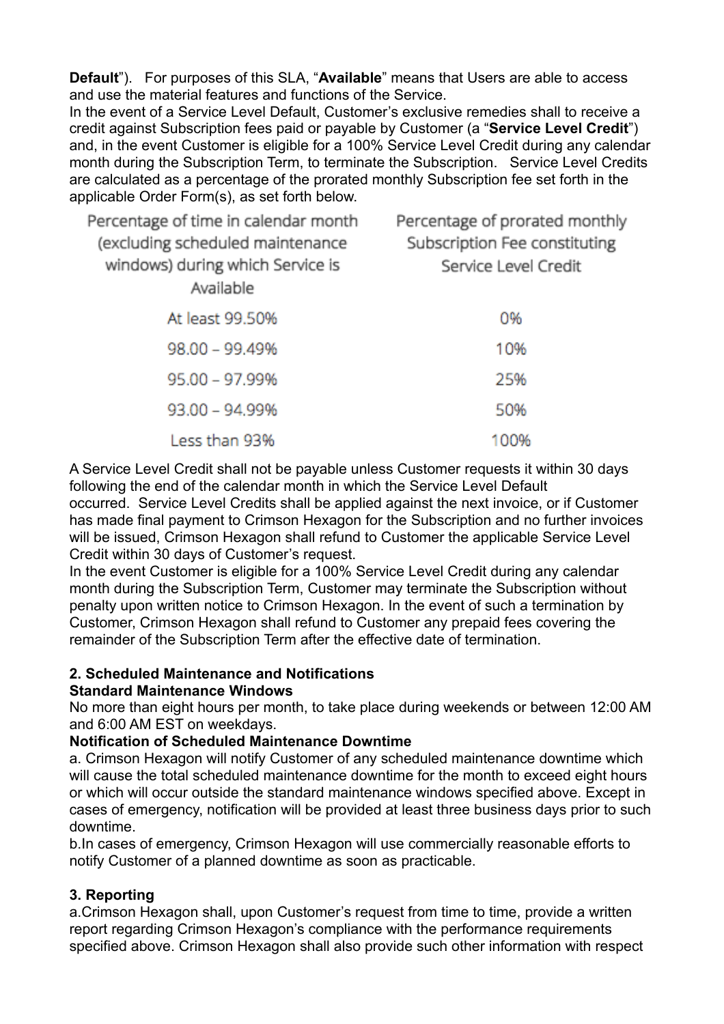**Default**"). For purposes of this SLA, "**Available**" means that Users are able to access and use the material features and functions of the Service.

In the event of a Service Level Default, Customer's exclusive remedies shall to receive a credit against Subscription fees paid or payable by Customer (a "**Service Level Credit**") and, in the event Customer is eligible for a 100% Service Level Credit during any calendar month during the Subscription Term, to terminate the Subscription. Service Level Credits are calculated as a percentage of the prorated monthly Subscription fee set forth in the applicable Order Form(s), as set forth below.

| Percentage of time in calendar month<br>(excluding scheduled maintenance<br>windows) during which Service is<br>Available | Percentage of prorated monthly<br>Subscription Fee constituting<br>Service Level Credit |
|---------------------------------------------------------------------------------------------------------------------------|-----------------------------------------------------------------------------------------|
| At least 99.50%                                                                                                           | 0%                                                                                      |
| 98.00 - 99.49%                                                                                                            | 10%                                                                                     |
| 95.00 - 97.99%                                                                                                            | 25%                                                                                     |
| 93.00 - 94.99%                                                                                                            | 50%                                                                                     |
| Less than 93%                                                                                                             | 100%                                                                                    |

A Service Level Credit shall not be payable unless Customer requests it within 30 days following the end of the calendar month in which the Service Level Default

occurred. Service Level Credits shall be applied against the next invoice, or if Customer has made final payment to Crimson Hexagon for the Subscription and no further invoices will be issued, Crimson Hexagon shall refund to Customer the applicable Service Level Credit within 30 days of Customer's request.

In the event Customer is eligible for a 100% Service Level Credit during any calendar month during the Subscription Term, Customer may terminate the Subscription without penalty upon written notice to Crimson Hexagon. In the event of such a termination by Customer, Crimson Hexagon shall refund to Customer any prepaid fees covering the remainder of the Subscription Term after the effective date of termination.

#### **2. Scheduled Maintenance and Notifications**

#### **Standard Maintenance Windows**

No more than eight hours per month, to take place during weekends or between 12:00 AM and 6:00 AM EST on weekdays.

#### **Notification of Scheduled Maintenance Downtime**

a. Crimson Hexagon will notify Customer of any scheduled maintenance downtime which will cause the total scheduled maintenance downtime for the month to exceed eight hours or which will occur outside the standard maintenance windows specified above. Except in cases of emergency, notification will be provided at least three business days prior to such downtime.

b.In cases of emergency, Crimson Hexagon will use commercially reasonable efforts to notify Customer of a planned downtime as soon as practicable.

#### **3. Reporting**

a.Crimson Hexagon shall, upon Customer's request from time to time, provide a written report regarding Crimson Hexagon's compliance with the performance requirements specified above. Crimson Hexagon shall also provide such other information with respect